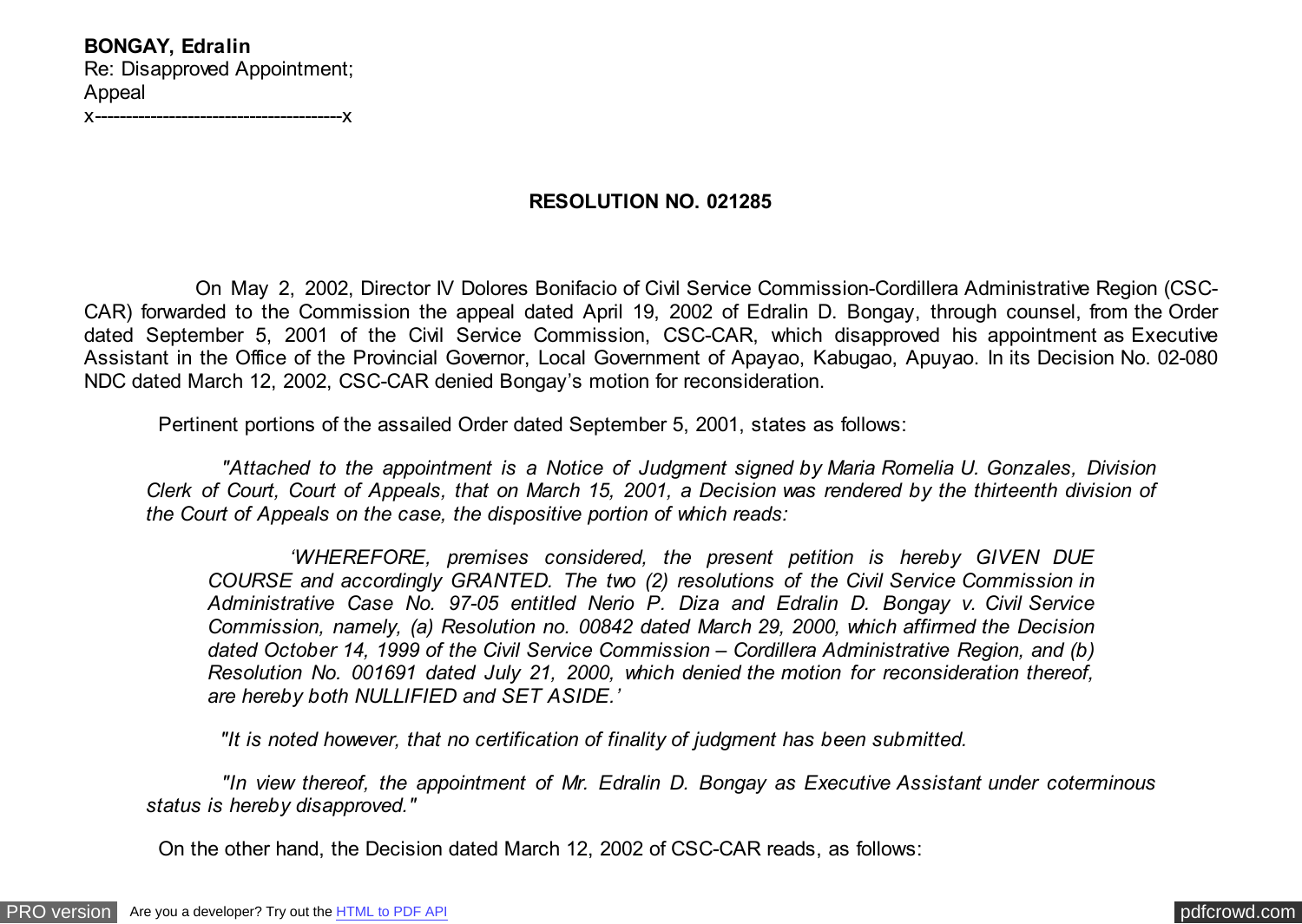**BONGAY, Edralin** Re: Disapproved Appointment; Appeal x----------------------------------------x

## **RESOLUTION NO. 021285**

 On May 2, 2002, Director IV Dolores Bonifacio of Civil Service Commission-Cordillera Administrative Region (CSC-CAR) forwarded to the Commission the appeal dated April 19, 2002 of Edralin D. Bongay, through counsel, from the Order dated September 5, 2001 of the Civil Service Commission, CSC-CAR, which disapproved his appointment as Executive Assistant in the Office of the Provincial Governor, Local Government of Apayao, Kabugao, Apuyao. In its Decision No. 02-080 NDC dated March 12, 2002, CSC-CAR denied Bongay's motion for reconsideration.

Pertinent portions of the assailed Order dated September 5, 2001, states as follows:

 *"Attached to the appointment is a Notice of Judgment signed by Maria Romelia U. Gonzales, Division Clerk of Court, Court of Appeals, that on March 15, 2001, a Decision was rendered by the thirteenth division of the Court of Appeals on the case, the dispositive portion of which reads:*

 *'WHEREFORE, premises considered, the present petition is hereby GIVEN DUE COURSE and accordingly GRANTED. The two (2) resolutions of the Civil Service Commission in Administrative Case No. 97-05 entitled Nerio P. Diza and Edralin D. Bongay v. Civil Service Commission, namely, (a) Resolution no. 00842 dated March 29, 2000, which affirmed the Decision dated October 14, 1999 of the Civil Service Commission – Cordillera Administrative Region, and (b) Resolution No. 001691 dated July 21, 2000, which denied the motion for reconsideration thereof, are hereby both NULLIFIED and SET ASIDE.'*

 *"It is noted however, that no certification of finality of judgment has been submitted.*

 *"In view thereof, the appointment of Mr. Edralin D. Bongay as Executive Assistant under coterminous status is hereby disapproved."*

On the other hand, the Decision dated March 12, 2002 of CSC-CAR reads, as follows: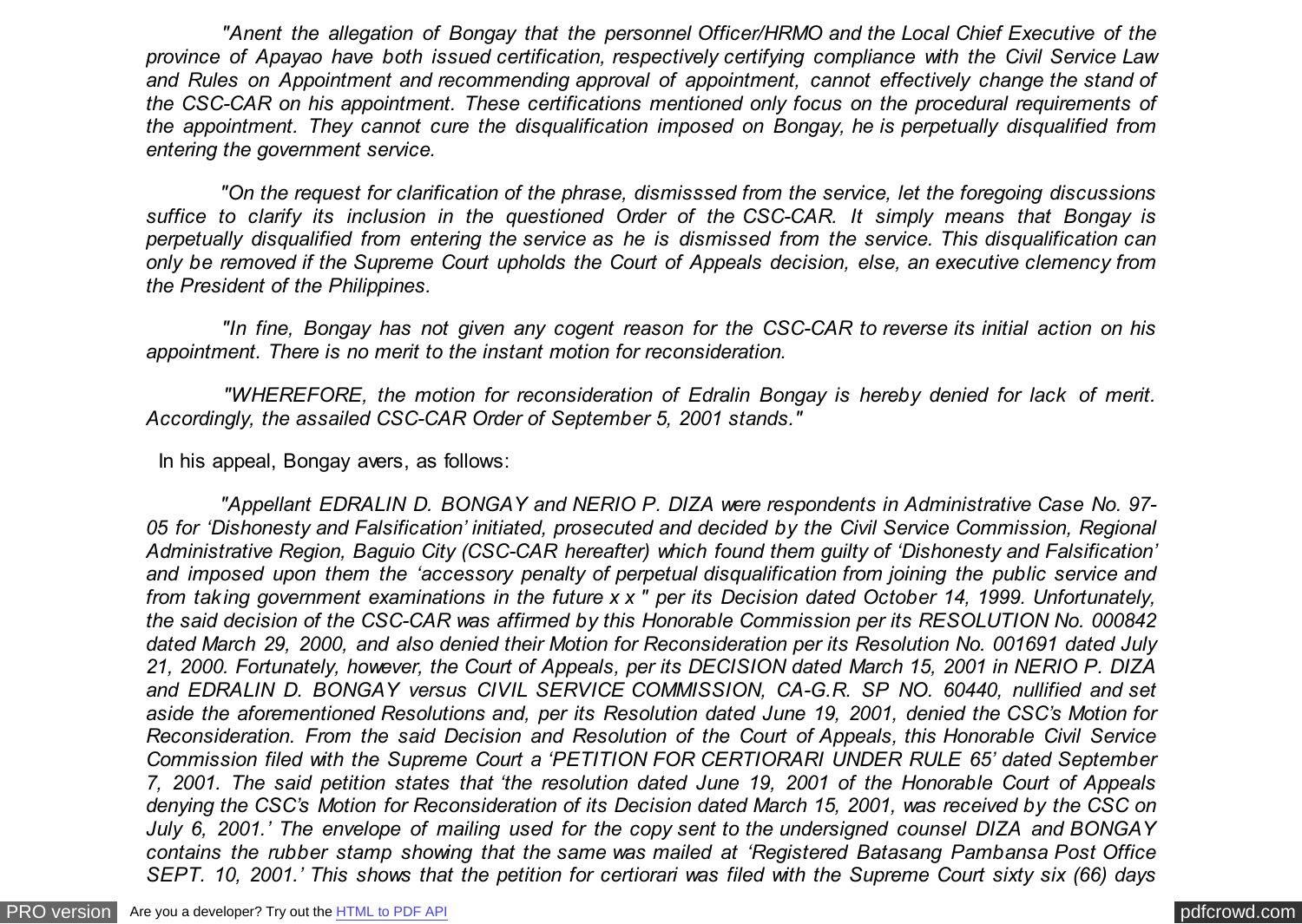*"Anent the allegation of Bongay that the personnel Officer/HRMO and the Local Chief Executive of the province of Apayao have both issued certification, respectively certifying compliance with the Civil Service Law and Rules on Appointment and recommending approval of appointment, cannot effectively change the stand of the CSC-CAR on his appointment. These certifications mentioned only focus on the procedural requirements of the appointment. They cannot cure the disqualification imposed on Bongay, he is perpetually disqualified from entering the government service.*

 *"On the request for clarification of the phrase, dismisssed from the service, let the foregoing discussions suffice to clarify its inclusion in the questioned Order of the CSC-CAR. It simply means that Bongay is perpetually disqualified from entering the service as he is dismissed from the service. This disqualification can only be removed if the Supreme Court upholds the Court of Appeals decision, else, an executive clemency from the President of the Philippines.*

 *"In fine, Bongay has not given any cogent reason for the CSC-CAR to reverse its initial action on his appointment. There is no merit to the instant motion for reconsideration.*

 *"WHEREFORE, the motion for reconsideration of Edralin Bongay is hereby denied for lack of merit. Accordingly, the assailed CSC-CAR Order of September 5, 2001 stands."*

In his appeal, Bongay avers, as follows:

 *"Appellant EDRALIN D. BONGAY and NERIO P. DIZA were respondents in Administrative Case No. 97- 05 for 'Dishonesty and Falsification' initiated, prosecuted and decided by the Civil Service Commission, Regional Administrative Region, Baguio City (CSC-CAR hereafter) which found them guilty of 'Dishonesty and Falsification' and imposed upon them the 'accessory penalty of perpetual disqualification from joining the public service and from taking government examinations in the future x x " per its Decision dated October 14, 1999. Unfortunately, the said decision of the CSC-CAR was affirmed by this Honorable Commission per its RESOLUTION No. 000842 dated March 29, 2000, and also denied their Motion for Reconsideration per its Resolution No. 001691 dated July 21, 2000. Fortunately, however, the Court of Appeals, per its DECISION dated March 15, 2001 in NERIO P. DIZA and EDRALIN D. BONGAY versus CIVIL SERVICE COMMISSION, CA-G.R. SP NO. 60440, nullified and set aside the aforementioned Resolutions and, per its Resolution dated June 19, 2001, denied the CSC's Motion for Reconsideration. From the said Decision and Resolution of the Court of Appeals, this Honorable Civil Service Commission filed with the Supreme Court a 'PETITION FOR CERTIORARI UNDER RULE 65' dated September 7, 2001. The said petition states that 'the resolution dated June 19, 2001 of the Honorable Court of Appeals denying the CSC's Motion for Reconsideration of its Decision dated March 15, 2001, was received by the CSC on July 6, 2001.' The envelope of mailing used for the copy sent to the undersigned counsel DIZA and BONGAY contains the rubber stamp showing that the same was mailed at 'Registered Batasang Pambansa Post Office SEPT. 10, 2001.' This shows that the petition for certiorari was filed with the Supreme Court sixty six (66) days*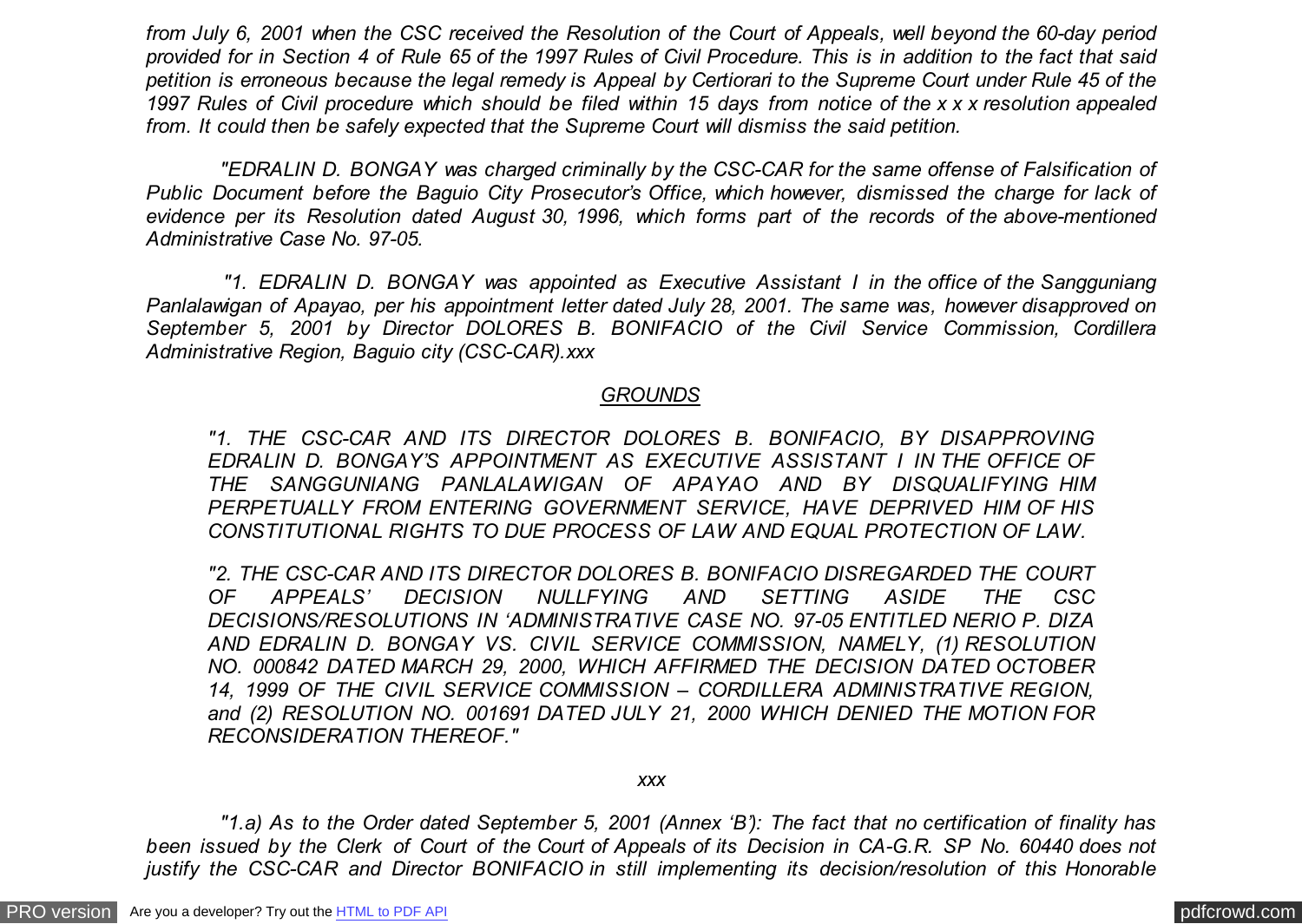*from July 6, 2001 when the CSC received the Resolution of the Court of Appeals, well beyond the 60-day period provided for in Section 4 of Rule 65 of the 1997 Rules of Civil Procedure. This is in addition to the fact that said petition is erroneous because the legal remedy is Appeal by Certiorari to the Supreme Court under Rule 45 of the 1997 Rules of Civil procedure which should be filed within 15 days from notice of the x x x resolution appealed from. It could then be safely expected that the Supreme Court will dismiss the said petition.*

 *"EDRALIN D. BONGAY was charged criminally by the CSC-CAR for the same offense of Falsification of Public Document before the Baguio City Prosecutor's Office, which however, dismissed the charge for lack of evidence per its Resolution dated August 30, 1996, which forms part of the records of the above-mentioned Administrative Case No. 97-05.*

 *"1. EDRALIN D. BONGAY was appointed as Executive Assistant I in the office of the Sangguniang Panlalawigan of Apayao, per his appointment letter dated July 28, 2001. The same was, however disapproved on September 5, 2001 by Director DOLORES B. BONIFACIO of the Civil Service Commission, Cordillera Administrative Region, Baguio city (CSC-CAR).xxx*

### *GROUNDS*

*"1. THE CSC-CAR AND ITS DIRECTOR DOLORES B. BONIFACIO, BY DISAPPROVING EDRALIN D. BONGAY'S APPOINTMENT AS EXECUTIVE ASSISTANT I IN THE OFFICE OF THE SANGGUNIANG PANLALAWIGAN OF APAYAO AND BY DISQUALIFYING HIM PERPETUALLY FROM ENTERING GOVERNMENT SERVICE, HAVE DEPRIVED HIM OF HIS CONSTITUTIONAL RIGHTS TO DUE PROCESS OF LAW AND EQUAL PROTECTION OF LAW.*

*"2. THE CSC-CAR AND ITS DIRECTOR DOLORES B. BONIFACIO DISREGARDED THE COURT OF APPEALS' DECISION NULLFYING AND SETTING ASIDE THE CSC DECISIONS/RESOLUTIONS IN 'ADMINISTRATIVE CASE NO. 97-05 ENTITLED NERIO P. DIZA AND EDRALIN D. BONGAY VS. CIVIL SERVICE COMMISSION, NAMELY, (1) RESOLUTION NO. 000842 DATED MARCH 29, 2000, WHICH AFFIRMED THE DECISION DATED OCTOBER 14, 1999 OF THE CIVIL SERVICE COMMISSION – CORDILLERA ADMINISTRATIVE REGION, and (2) RESOLUTION NO. 001691 DATED JULY 21, 2000 WHICH DENIED THE MOTION FOR RECONSIDERATION THEREOF."*

#### *xxx*

 *"1.a) As to the Order dated September 5, 2001 (Annex 'B'): The fact that no certification of finality has been issued by the Clerk of Court of the Court of Appeals of its Decision in CA-G.R. SP No. 60440 does not justify the CSC-CAR and Director BONIFACIO in still implementing its decision/resolution of this Honorable*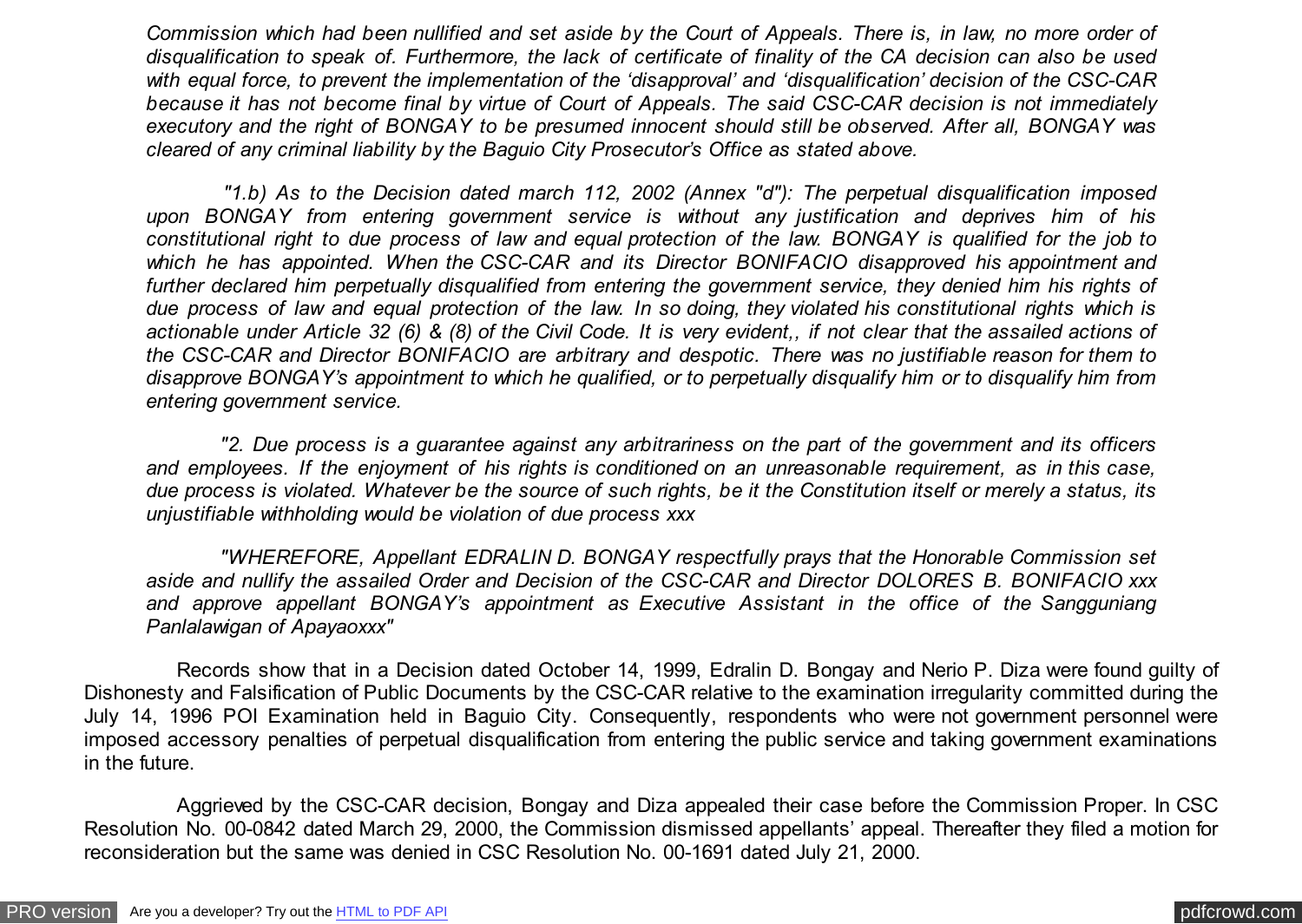*Commission which had been nullified and set aside by the Court of Appeals. There is, in law, no more order of disqualification to speak of. Furthermore, the lack of certificate of finality of the CA decision can also be used with equal force, to prevent the implementation of the 'disapproval' and 'disqualification' decision of the CSC-CAR because it has not become final by virtue of Court of Appeals. The said CSC-CAR decision is not immediately executory and the right of BONGAY to be presumed innocent should still be observed. After all, BONGAY was cleared of any criminal liability by the Baguio City Prosecutor's Office as stated above.*

 *"1.b) As to the Decision dated march 112, 2002 (Annex "d"): The perpetual disqualification imposed upon BONGAY from entering government service is without any justification and deprives him of his constitutional right to due process of law and equal protection of the law. BONGAY is qualified for the job to which he has appointed. When the CSC-CAR and its Director BONIFACIO disapproved his appointment and further declared him perpetually disqualified from entering the government service, they denied him his rights of due process of law and equal protection of the law. In so doing, they violated his constitutional rights which is actionable under Article 32 (6) & (8) of the Civil Code. It is very evident,, if not clear that the assailed actions of the CSC-CAR and Director BONIFACIO are arbitrary and despotic. There was no justifiable reason for them to disapprove BONGAY's appointment to which he qualified, or to perpetually disqualify him or to disqualify him from entering government service.*

 *"2. Due process is a guarantee against any arbitrariness on the part of the government and its officers and employees. If the enjoyment of his rights is conditioned on an unreasonable requirement, as in this case, due process is violated. Whatever be the source of such rights, be it the Constitution itself or merely a status, its unjustifiable withholding would be violation of due process xxx*

 *"WHEREFORE, Appellant EDRALIN D. BONGAY respectfully prays that the Honorable Commission set aside and nullify the assailed Order and Decision of the CSC-CAR and Director DOLORES B. BONIFACIO xxx and approve appellant BONGAY's appointment as Executive Assistant in the office of the Sangguniang Panlalawigan of Apayaoxxx"*

 Records show that in a Decision dated October 14, 1999, Edralin D. Bongay and Nerio P. Diza were found guilty of Dishonesty and Falsification of Public Documents by the CSC-CAR relative to the examination irregularity committed during the July 14, 1996 POI Examination held in Baguio City. Consequently, respondents who were not government personnel were imposed accessory penalties of perpetual disqualification from entering the public service and taking government examinations in the future.

 Aggrieved by the CSC-CAR decision, Bongay and Diza appealed their case before the Commission Proper. In CSC Resolution No. 00-0842 dated March 29, 2000, the Commission dismissed appellants' appeal. Thereafter they filed a motion for reconsideration but the same was denied in CSC Resolution No. 00-1691 dated July 21, 2000.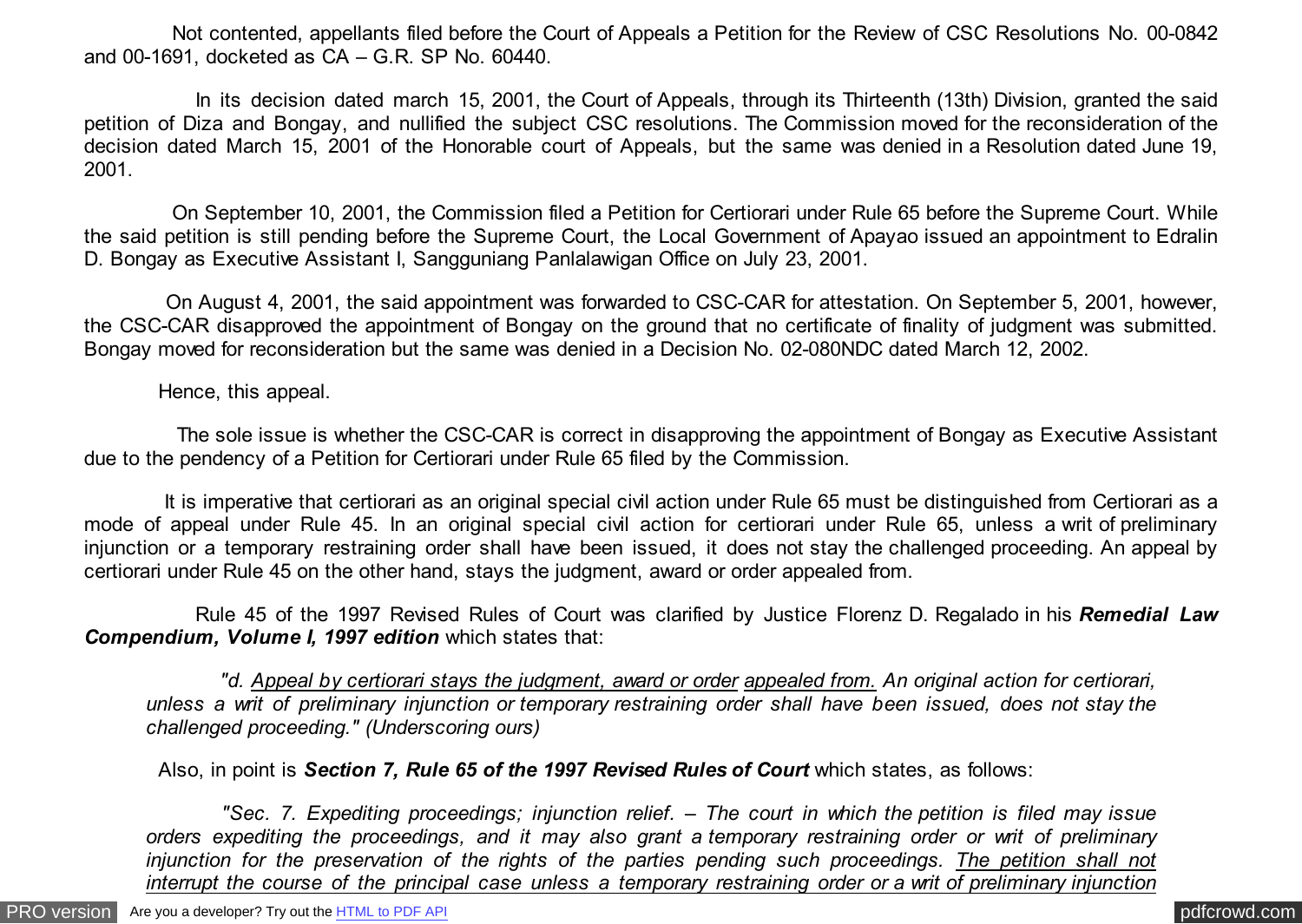Not contented, appellants filed before the Court of Appeals a Petition for the Review of CSC Resolutions No. 00-0842 and 00-1691, docketed as CA – G.R. SP No. 60440.

 In its decision dated march 15, 2001, the Court of Appeals, through its Thirteenth (13th) Division, granted the said petition of Diza and Bongay, and nullified the subject CSC resolutions. The Commission moved for the reconsideration of the decision dated March 15, 2001 of the Honorable court of Appeals, but the same was denied in a Resolution dated June 19, 2001.

 On September 10, 2001, the Commission filed a Petition for Certiorari under Rule 65 before the Supreme Court. While the said petition is still pending before the Supreme Court, the Local Government of Apayao issued an appointment to Edralin D. Bongay as Executive Assistant I, Sangguniang Panlalawigan Office on July 23, 2001.

 On August 4, 2001, the said appointment was forwarded to CSC-CAR for attestation. On September 5, 2001, however, the CSC-CAR disapproved the appointment of Bongay on the ground that no certificate of finality of judgment was submitted. Bongay moved for reconsideration but the same was denied in a Decision No. 02-080NDC dated March 12, 2002.

Hence, this appeal.

 The sole issue is whether the CSC-CAR is correct in disapproving the appointment of Bongay as Executive Assistant due to the pendency of a Petition for Certiorari under Rule 65 filed by the Commission.

 It is imperative that certiorari as an original special civil action under Rule 65 must be distinguished from Certiorari as a mode of appeal under Rule 45. In an original special civil action for certiorari under Rule 65, unless a writ of preliminary injunction or a temporary restraining order shall have been issued, it does not stay the challenged proceeding. An appeal by certiorari under Rule 45 on the other hand, stays the judgment, award or order appealed from.

 Rule 45 of the 1997 Revised Rules of Court was clarified by Justice Florenz D. Regalado in his *Remedial Law* **Compendium, Volume I, 1997 edition** which states that:

 *"d. Appeal by certiorari stays the judgment, award or order appealed from. An original action for certiorari, unless a writ of preliminary injunction or temporary restraining order shall have been issued, does not stay the challenged proceeding." (Underscoring ours)*

Also, in point is *Section 7, Rule 65 of the 1997 Revised Rules of Court* which states, as follows:

 *"Sec. 7. Expediting proceedings; injunction relief. – The court in which the petition is filed may issue orders expediting the proceedings, and it may also grant a temporary restraining order or writ of preliminary injunction for the preservation of the rights of the parties pending such proceedings. The petition shall not interrupt the course of the principal case unless a temporary restraining order or a writ of preliminary injunction*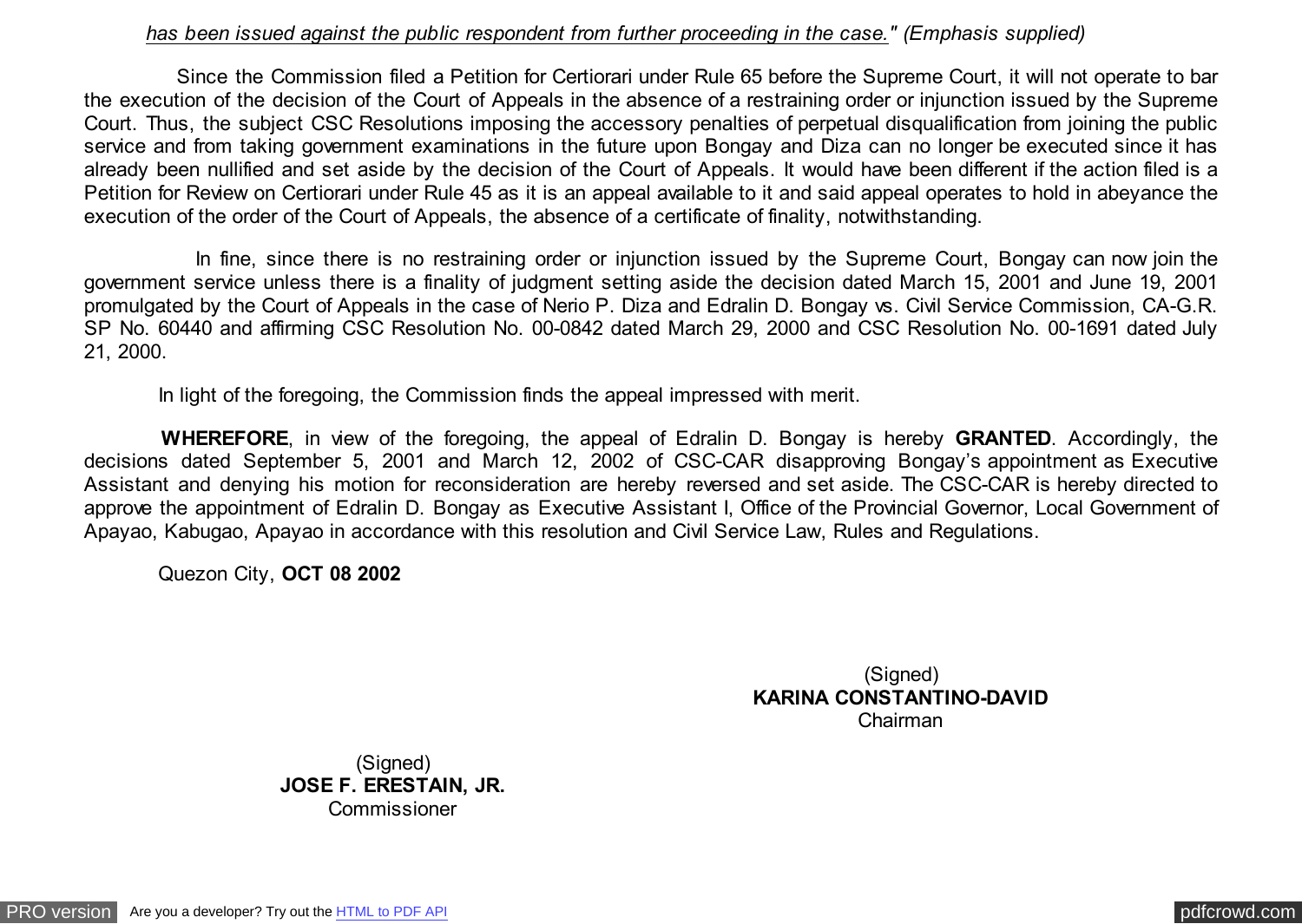### *has been issued against the public respondent from further proceeding in the case." (Emphasis supplied)*

 Since the Commission filed a Petition for Certiorari under Rule 65 before the Supreme Court, it will not operate to bar the execution of the decision of the Court of Appeals in the absence of a restraining order or injunction issued by the Supreme Court. Thus, the subject CSC Resolutions imposing the accessory penalties of perpetual disqualification from joining the public service and from taking government examinations in the future upon Bongay and Diza can no longer be executed since it has already been nullified and set aside by the decision of the Court of Appeals. It would have been different if the action filed is a Petition for Review on Certiorari under Rule 45 as it is an appeal available to it and said appeal operates to hold in abeyance the execution of the order of the Court of Appeals, the absence of a certificate of finality, notwithstanding.

 In fine, since there is no restraining order or injunction issued by the Supreme Court, Bongay can now join the government service unless there is a finality of judgment setting aside the decision dated March 15, 2001 and June 19, 2001 promulgated by the Court of Appeals in the case of Nerio P. Diza and Edralin D. Bongay vs. Civil Service Commission, CA-G.R. SP No. 60440 and affirming CSC Resolution No. 00-0842 dated March 29, 2000 and CSC Resolution No. 00-1691 dated July 21, 2000.

In light of the foregoing, the Commission finds the appeal impressed with merit.

 **WHEREFORE**, in view of the foregoing, the appeal of Edralin D. Bongay is hereby **GRANTED**. Accordingly, the decisions dated September 5, 2001 and March 12, 2002 of CSC-CAR disapproving Bongay's appointment as Executive Assistant and denying his motion for reconsideration are hereby reversed and set aside. The CSC-CAR is hereby directed to approve the appointment of Edralin D. Bongay as Executive Assistant I, Office of the Provincial Governor, Local Government of Apayao, Kabugao, Apayao in accordance with this resolution and Civil Service Law, Rules and Regulations.

Quezon City, **OCT 08 2002**

(Signed) **KARINA CONSTANTINO-DAVID** Chairman

(Signed) **JOSE F. ERESTAIN, JR.** Commissioner

[PRO version](http://pdfcrowd.com/customize/) Are you a developer? Try out th[e HTML to PDF API](http://pdfcrowd.com/html-to-pdf-api/?ref=pdf) provided and the example of the HTML to PDF API [pdfcrowd.com](http://pdfcrowd.com)